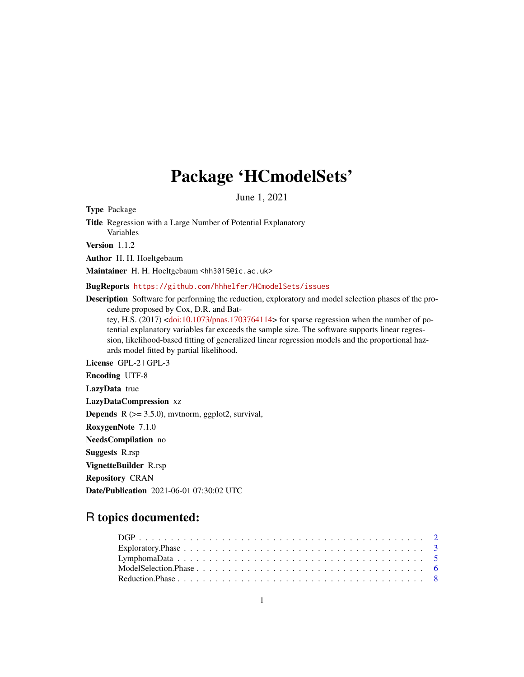## Package 'HCmodelSets'

June 1, 2021

<span id="page-0-0"></span>Type Package

Title Regression with a Large Number of Potential Explanatory Variables

Version 1.1.2

Author H. H. Hoeltgebaum

Maintainer H. H. Hoeltgebaum <hh3015@ic.ac.uk>

BugReports <https://github.com/hhhelfer/HCmodelSets/issues>

Description Software for performing the reduction, exploratory and model selection phases of the procedure proposed by Cox, D.R. and Bat-

tey, H.S. (2017) [<doi:10.1073/pnas.1703764114>](https://doi.org/10.1073/pnas.1703764114) for sparse regression when the number of potential explanatory variables far exceeds the sample size. The software supports linear regression, likelihood-based fitting of generalized linear regression models and the proportional hazards model fitted by partial likelihood.

License GPL-2 | GPL-3

Encoding UTF-8 LazyData true LazyDataCompression xz **Depends**  $R$  ( $>= 3.5.0$ ), mythorm, ggplot2, survival, RoxygenNote 7.1.0 NeedsCompilation no Suggests R.rsp VignetteBuilder R.rsp Repository CRAN Date/Publication 2021-06-01 07:30:02 UTC

### R topics documented: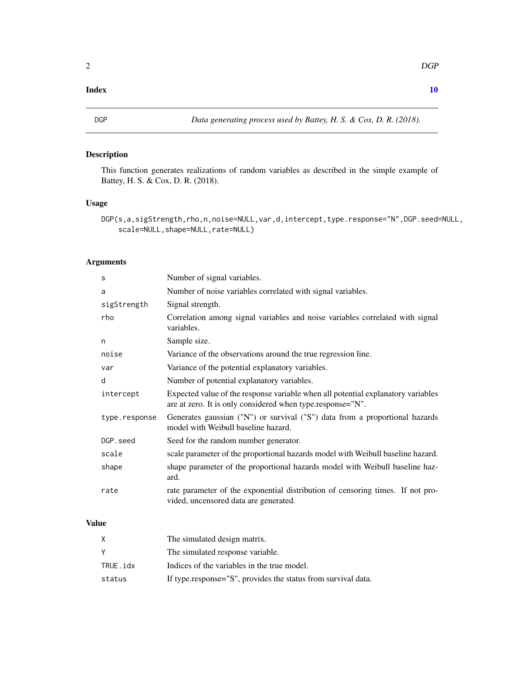#### <span id="page-1-0"></span> $\blacksquare$

#### Description

This function generates realizations of random variables as described in the simple example of Battey, H. S. & Cox, D. R. (2018).

#### Usage

```
DGP(s,a,sigStrength,rho,n,noise=NULL,var,d,intercept,type.response="N",DGP.seed=NULL,
    scale=NULL,shape=NULL,rate=NULL)
```
#### Arguments

| S             | Number of signal variables.                                                                                                                    |
|---------------|------------------------------------------------------------------------------------------------------------------------------------------------|
| a             | Number of noise variables correlated with signal variables.                                                                                    |
| sigStrength   | Signal strength.                                                                                                                               |
| rho           | Correlation among signal variables and noise variables correlated with signal<br>variables.                                                    |
| n             | Sample size.                                                                                                                                   |
| noise         | Variance of the observations around the true regression line.                                                                                  |
| var           | Variance of the potential explanatory variables.                                                                                               |
| d             | Number of potential explanatory variables.                                                                                                     |
| intercept     | Expected value of the response variable when all potential explanatory variables<br>are at zero. It is only considered when type.response="N". |
| type.response | Generates gaussian ("N") or survival ("S") data from a proportional hazards<br>model with Weibull baseline hazard.                             |
| DGP.seed      | Seed for the random number generator.                                                                                                          |
| scale         | scale parameter of the proportional hazards model with Weibull baseline hazard.                                                                |
| shape         | shape parameter of the proportional hazards model with Weibull baseline haz-<br>ard.                                                           |
| rate          | rate parameter of the exponential distribution of censoring times. If not pro-<br>vided, uncensored data are generated.                        |

#### Value

| X        | The simulated design matrix.                                  |
|----------|---------------------------------------------------------------|
| Y        | The simulated response variable.                              |
| TRUE.idx | Indices of the variables in the true model.                   |
| status   | If type.response="S", provides the status from survival data. |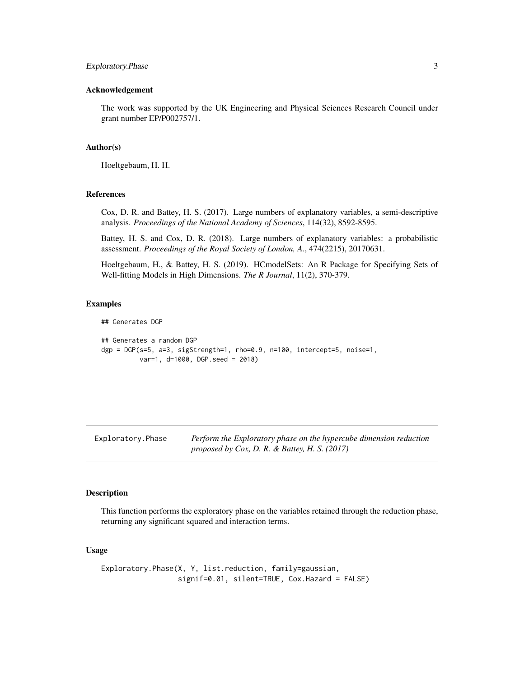#### <span id="page-2-0"></span>Exploratory.Phase 3

#### Acknowledgement

The work was supported by the UK Engineering and Physical Sciences Research Council under grant number EP/P002757/1.

#### Author(s)

Hoeltgebaum, H. H.

#### References

Cox, D. R. and Battey, H. S. (2017). Large numbers of explanatory variables, a semi-descriptive analysis. *Proceedings of the National Academy of Sciences*, 114(32), 8592-8595.

Battey, H. S. and Cox, D. R. (2018). Large numbers of explanatory variables: a probabilistic assessment. *Proceedings of the Royal Society of London, A.*, 474(2215), 20170631.

Hoeltgebaum, H., & Battey, H. S. (2019). HCmodelSets: An R Package for Specifying Sets of Well-fitting Models in High Dimensions. *The R Journal*, 11(2), 370-379.

#### Examples

```
## Generates DGP
## Generates a random DGP
\text{dgp} = \text{DGP}(\text{s=5}, \text{a=3}, \text{sigStrength=1}, \text{rho=0.9}, \text{n=100}, \text{intercept=5}, \text{noise=1},var=1, d=1000, DGP.seed = 2018)
```
<span id="page-2-1"></span>Exploratory.Phase *Perform the Exploratory phase on the hypercube dimension reduction proposed by Cox, D. R. & Battey, H. S. (2017)*

#### Description

This function performs the exploratory phase on the variables retained through the reduction phase, returning any significant squared and interaction terms.

#### Usage

Exploratory.Phase(X, Y, list.reduction, family=gaussian, signif=0.01, silent=TRUE, Cox.Hazard = FALSE)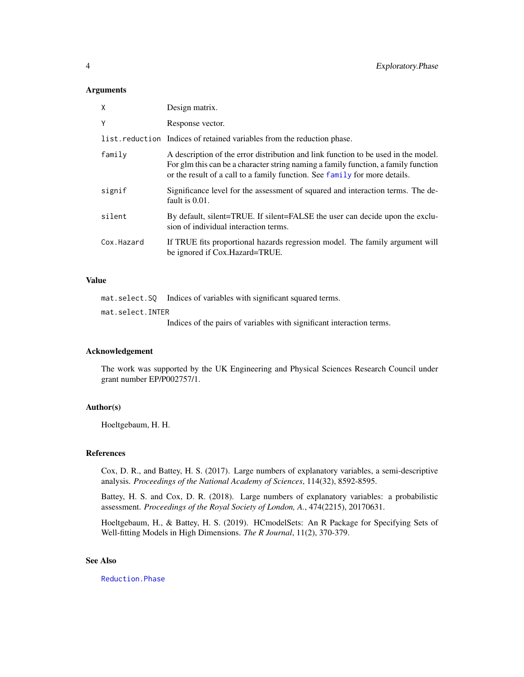#### <span id="page-3-0"></span>Arguments

| X          | Design matrix.                                                                                                                                                                                                                                         |
|------------|--------------------------------------------------------------------------------------------------------------------------------------------------------------------------------------------------------------------------------------------------------|
| Y          | Response vector.                                                                                                                                                                                                                                       |
|            | list.reduction Indices of retained variables from the reduction phase.                                                                                                                                                                                 |
| family     | A description of the error distribution and link function to be used in the model.<br>For glm this can be a character string naming a family function, a family function<br>or the result of a call to a family function. See family for more details. |
| signif     | Significance level for the assessment of squared and interaction terms. The de-<br>fault is 0.01.                                                                                                                                                      |
| silent     | By default, silent=TRUE. If silent=FALSE the user can decide upon the exclu-<br>sion of individual interaction terms.                                                                                                                                  |
| Cox.Hazard | If TRUE fits proportional hazards regression model. The family argument will<br>be ignored if Cox. Hazard=TRUE.                                                                                                                                        |

#### Value

mat.select.SQ Indices of variables with significant squared terms. mat.select.INTER Indices of the pairs of variables with significant interaction terms.

#### Acknowledgement

The work was supported by the UK Engineering and Physical Sciences Research Council under grant number EP/P002757/1.

#### Author(s)

Hoeltgebaum, H. H.

#### References

Cox, D. R., and Battey, H. S. (2017). Large numbers of explanatory variables, a semi-descriptive analysis. *Proceedings of the National Academy of Sciences*, 114(32), 8592-8595.

Battey, H. S. and Cox, D. R. (2018). Large numbers of explanatory variables: a probabilistic assessment. *Proceedings of the Royal Society of London, A.*, 474(2215), 20170631.

Hoeltgebaum, H., & Battey, H. S. (2019). HCmodelSets: An R Package for Specifying Sets of Well-fitting Models in High Dimensions. *The R Journal*, 11(2), 370-379.

#### See Also

[Reduction.Phase](#page-7-1)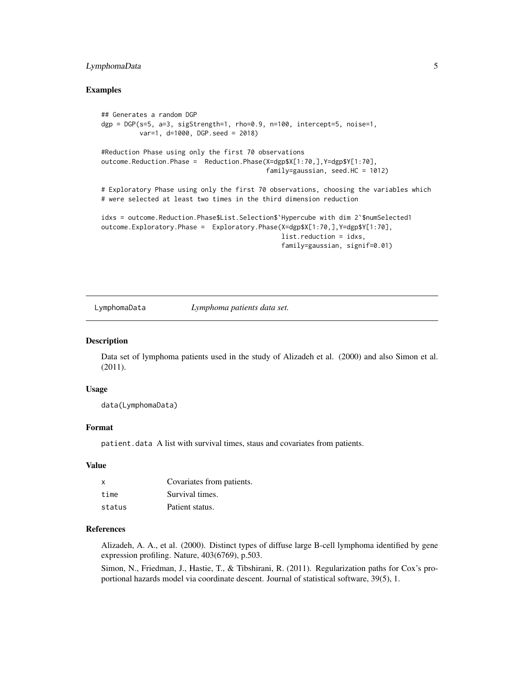#### <span id="page-4-0"></span>LymphomaData 5

#### Examples

```
## Generates a random DGP
dgp = DGP(s=5, a=3, sigStrength=1, rho=0.9, n=100, intercept=5, noise=1,
         var=1, d=1000, DGP.seed = 2018)
#Reduction Phase using only the first 70 observations
outcome.Reduction.Phase = Reduction.Phase(X=dgp$X[1:70,],Y=dgp$Y[1:70],
                                           family=gaussian, seed.HC = 1012)
# Exploratory Phase using only the first 70 observations, choosing the variables which
# were selected at least two times in the third dimension reduction
idxs = outcome.Reduction.Phase$List.Selection$'Hypercube with dim 2'$numSelected1
outcome.Exploratory.Phase = Exploratory.Phase(X=dgp$X[1:70,],Y=dgp$Y[1:70],
                                               list.reduction = idxs,
                                               family=gaussian, signif=0.01)
```
LymphomaData *Lymphoma patients data set.*

#### **Description**

Data set of lymphoma patients used in the study of Alizadeh et al. (2000) and also Simon et al. (2011).

#### Usage

data(LymphomaData)

#### Format

patient.data A list with survival times, staus and covariates from patients.

#### Value

| $\mathsf{x}$ | Covariates from patients. |
|--------------|---------------------------|
| time         | Survival times.           |
| status       | Patient status.           |

#### References

Alizadeh, A. A., et al. (2000). Distinct types of diffuse large B-cell lymphoma identified by gene expression profiling. Nature, 403(6769), p.503.

Simon, N., Friedman, J., Hastie, T., & Tibshirani, R. (2011). Regularization paths for Cox's proportional hazards model via coordinate descent. Journal of statistical software, 39(5), 1.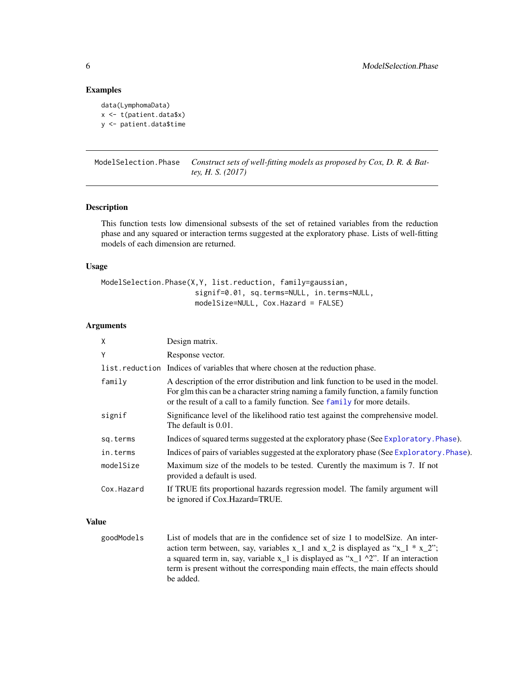#### Examples

```
data(LymphomaData)
x <- t(patient.data$x)
y <- patient.data$time
```
ModelSelection.Phase *Construct sets of well-fitting models as proposed by Cox, D. R. & Battey, H. S. (2017)*

#### Description

This function tests low dimensional subsests of the set of retained variables from the reduction phase and any squared or interaction terms suggested at the exploratory phase. Lists of well-fitting models of each dimension are returned.

#### Usage

```
ModelSelection.Phase(X,Y, list.reduction, family=gaussian,
                      signif=0.01, sq.terms=NULL, in.terms=NULL,
                      modelSize=NULL, Cox.Hazard = FALSE)
```
#### Arguments

| X          | Design matrix.                                                                                                                                                                                                                                         |
|------------|--------------------------------------------------------------------------------------------------------------------------------------------------------------------------------------------------------------------------------------------------------|
| Y          | Response vector.                                                                                                                                                                                                                                       |
|            | list. reduction Indices of variables that where chosen at the reduction phase.                                                                                                                                                                         |
| family     | A description of the error distribution and link function to be used in the model.<br>For glm this can be a character string naming a family function, a family function<br>or the result of a call to a family function. See family for more details. |
| signif     | Significance level of the likelihood ratio test against the comprehensive model.<br>The default is 0.01.                                                                                                                                               |
| sq.terms   | Indices of squared terms suggested at the exploratory phase (See Exploratory . Phase).                                                                                                                                                                 |
| in.terms   | Indices of pairs of variables suggested at the exploratory phase (See Exploratory Phase).                                                                                                                                                              |
| modelSize  | Maximum size of the models to be tested. Curently the maximum is 7. If not<br>provided a default is used.                                                                                                                                              |
| Cox.Hazard | If TRUE fits proportional hazards regression model. The family argument will<br>be ignored if Cox. Hazard=TRUE.                                                                                                                                        |

#### Value

goodModels List of models that are in the confidence set of size 1 to modelSize. An interaction term between, say, variables  $x_1$  and  $x_2$  is displayed as " $x_1$  \*  $x_2$ "; a squared term in, say, variable  $x_1$  is displayed as " $x_1 \wedge 2$ ". If an interaction term is present without the corresponding main effects, the main effects should be added.

<span id="page-5-0"></span>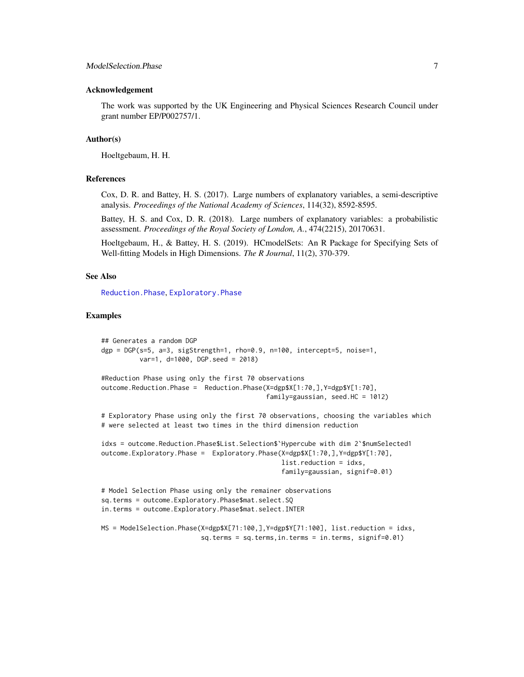#### <span id="page-6-0"></span>Acknowledgement

The work was supported by the UK Engineering and Physical Sciences Research Council under grant number EP/P002757/1.

#### Author(s)

Hoeltgebaum, H. H.

#### References

Cox, D. R. and Battey, H. S. (2017). Large numbers of explanatory variables, a semi-descriptive analysis. *Proceedings of the National Academy of Sciences*, 114(32), 8592-8595.

Battey, H. S. and Cox, D. R. (2018). Large numbers of explanatory variables: a probabilistic assessment. *Proceedings of the Royal Society of London, A.*, 474(2215), 20170631.

Hoeltgebaum, H., & Battey, H. S. (2019). HCmodelSets: An R Package for Specifying Sets of Well-fitting Models in High Dimensions. *The R Journal*, 11(2), 370-379.

#### See Also

[Reduction.Phase](#page-7-1), [Exploratory.Phase](#page-2-1)

#### Examples

```
## Generates a random DGP
dgp = DGP(s=5, a=3, sigStrength=1, rho=0.9, n=100, intercept=5, noise=1,
         var=1, d=1000, DGP.seed = 2018)
#Reduction Phase using only the first 70 observations
outcome.Reduction.Phase = Reduction.Phase(X=dgp$X[1:70,],Y=dgp$Y[1:70],
                                           family=gaussian, seed.HC = 1012)
# Exploratory Phase using only the first 70 observations, choosing the variables which
# were selected at least two times in the third dimension reduction
idxs = outcome.Reduction.Phase$List.Selection$`Hypercube with dim 2`$numSelected1
outcome.Exploratory.Phase = Exploratory.Phase(X=dgp$X[1:70,],Y=dgp$Y[1:70],
                                               list.reduction = idxs,
                                               family=gaussian, signif=0.01)
# Model Selection Phase using only the remainer observations
sq.terms = outcome.Exploratory.Phase$mat.select.SQ
in.terms = outcome.Exploratory.Phase$mat.select.INTER
MS = ModelSelection.Phase(X=dgp$X[71:100,],Y=dgp$Y[71:100], list.reduction = idxs,
```
sq.terms = sq.terms,in.terms = in.terms, signif=0.01)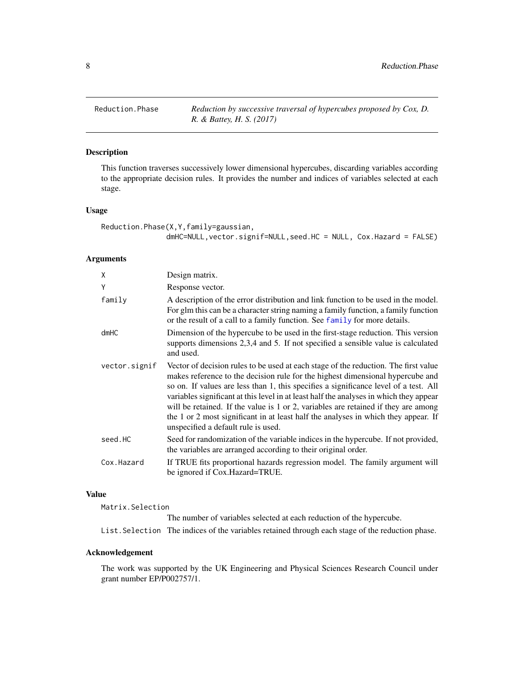<span id="page-7-1"></span><span id="page-7-0"></span>Reduction.Phase *Reduction by successive traversal of hypercubes proposed by Cox, D. R. & Battey, H. S. (2017)*

#### Description

This function traverses successively lower dimensional hypercubes, discarding variables according to the appropriate decision rules. It provides the number and indices of variables selected at each stage.

#### Usage

```
Reduction.Phase(X,Y,family=gaussian,
               dmHC=NULL,vector.signif=NULL,seed.HC = NULL, Cox.Hazard = FALSE)
```
#### Arguments

| X             | Design matrix.                                                                                                                                                                                                                                                                                                                                                                                                                                                                                                                                                             |
|---------------|----------------------------------------------------------------------------------------------------------------------------------------------------------------------------------------------------------------------------------------------------------------------------------------------------------------------------------------------------------------------------------------------------------------------------------------------------------------------------------------------------------------------------------------------------------------------------|
| Y             | Response vector.                                                                                                                                                                                                                                                                                                                                                                                                                                                                                                                                                           |
| family        | A description of the error distribution and link function to be used in the model.<br>For glm this can be a character string naming a family function, a family function<br>or the result of a call to a family function. See family for more details.                                                                                                                                                                                                                                                                                                                     |
| dmHC          | Dimension of the hypercube to be used in the first-stage reduction. This version<br>supports dimensions 2,3,4 and 5. If not specified a sensible value is calculated<br>and used.                                                                                                                                                                                                                                                                                                                                                                                          |
| vector.signif | Vector of decision rules to be used at each stage of the reduction. The first value<br>makes reference to the decision rule for the highest dimensional hypercube and<br>so on. If values are less than 1, this specifies a significance level of a test. All<br>variables significant at this level in at least half the analyses in which they appear<br>will be retained. If the value is 1 or 2, variables are retained if they are among<br>the 1 or 2 most significant in at least half the analyses in which they appear. If<br>unspecified a default rule is used. |
| seed.HC       | Seed for randomization of the variable indices in the hypercube. If not provided,<br>the variables are arranged according to their original order.                                                                                                                                                                                                                                                                                                                                                                                                                         |
| Cox.Hazard    | If TRUE fits proportional hazards regression model. The family argument will<br>be ignored if Cox.Hazard=TRUE.                                                                                                                                                                                                                                                                                                                                                                                                                                                             |

#### Value

| Matrix.Selection |                                                                                                  |
|------------------|--------------------------------------------------------------------------------------------------|
|                  | The number of variables selected at each reduction of the hypercube.                             |
|                  | List. Selection The indices of the variables retained through each stage of the reduction phase. |

#### Acknowledgement

The work was supported by the UK Engineering and Physical Sciences Research Council under grant number EP/P002757/1.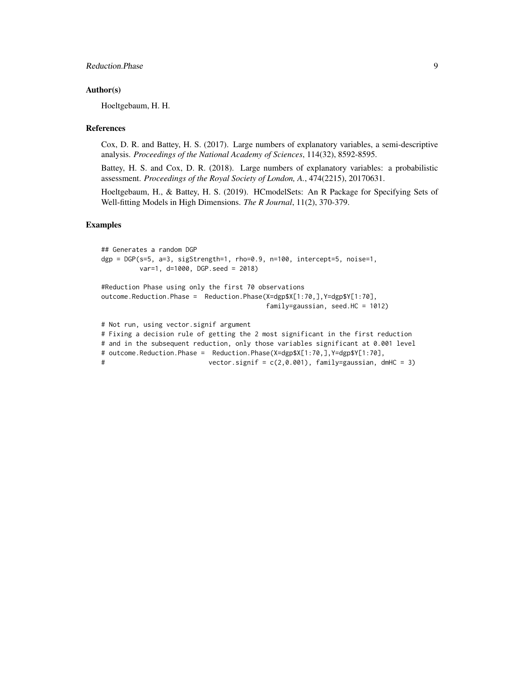#### Author(s)

Hoeltgebaum, H. H.

#### References

Cox, D. R. and Battey, H. S. (2017). Large numbers of explanatory variables, a semi-descriptive analysis. *Proceedings of the National Academy of Sciences*, 114(32), 8592-8595.

Battey, H. S. and Cox, D. R. (2018). Large numbers of explanatory variables: a probabilistic assessment. *Proceedings of the Royal Society of London, A.*, 474(2215), 20170631.

Hoeltgebaum, H., & Battey, H. S. (2019). HCmodelSets: An R Package for Specifying Sets of Well-fitting Models in High Dimensions. *The R Journal*, 11(2), 370-379.

#### Examples

```
## Generates a random DGP
dgp = DGP(s=5, a=3, sigStrength=1, rho=0.9, n=100, intercept=5, noise=1,
         var=1, d=1000, DGP.seed = 2018)
#Reduction Phase using only the first 70 observations
outcome.Reduction.Phase = Reduction.Phase(X=dgp$X[1:70,],Y=dgp$Y[1:70],
                                         family=gaussian, seed.HC = 1012)
# Not run, using vector.signif argument
# Fixing a decision rule of getting the 2 most significant in the first reduction
# and in the subsequent reduction, only those variables significant at 0.001 level
# outcome.Reduction.Phase = Reduction.Phase(X=dgp$X[1:70,],Y=dgp$Y[1:70],
# vector.signif = c(2, 0.001), family=gaussian, dmHC = 3)
```